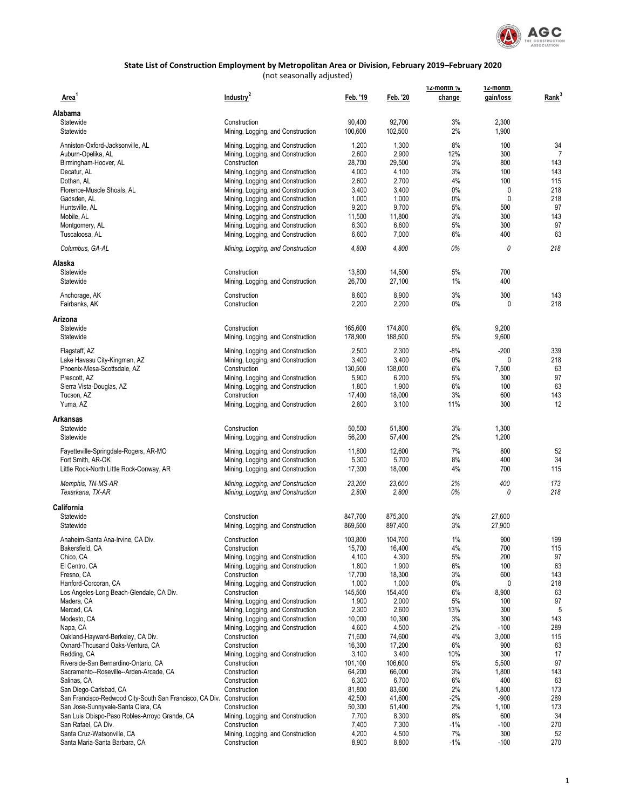

| Area <sup>1</sup>                                                    | Industry <sup>2</sup>                                                  | Feb. '19        | Feb. '20        | 12-montn %<br>change | 12-montn<br>gain/loss | Rank <sup>3</sup> |
|----------------------------------------------------------------------|------------------------------------------------------------------------|-----------------|-----------------|----------------------|-----------------------|-------------------|
| Alabama                                                              |                                                                        |                 |                 |                      |                       |                   |
| Statewide                                                            | Construction                                                           | 90,400          | 92,700          | 3%                   | 2,300                 |                   |
| Statewide                                                            | Mining, Logging, and Construction                                      | 100,600         | 102,500         | 2%                   | 1,900                 |                   |
| Anniston-Oxford-Jacksonville, AL                                     | Mining, Logging, and Construction                                      | 1,200           | 1,300           | 8%                   | 100                   | 34                |
| Auburn-Opelika, AL                                                   | Mining, Logging, and Construction                                      | 2,600           | 2,900           | 12%                  | 300                   |                   |
| Birmingham-Hoover, AL                                                | Construction                                                           | 28,700          | 29,500          | 3%                   | 800                   | 143               |
| Decatur, AL                                                          | Mining, Logging, and Construction                                      | 4,000           | 4,100           | 3%                   | 100                   | 143               |
| Dothan, AL                                                           | Mining, Logging, and Construction                                      | 2,600           | 2,700           | 4%                   | 100                   | 115               |
| Florence-Muscle Shoals, AL                                           | Mining, Logging, and Construction                                      | 3,400           | 3,400           | 0%                   | 0                     | 218               |
| Gadsden, AL                                                          | Mining, Logging, and Construction                                      | 1,000           | 1,000           | 0%                   | 0                     | 218               |
| Huntsville, AL                                                       | Mining, Logging, and Construction                                      | 9,200           | 9,700           | 5%                   | 500                   | 97                |
| Mobile, AL                                                           | Mining, Logging, and Construction                                      | 11,500          | 11,800          | 3%                   | 300                   | 143               |
| Montgomery, AL<br>Tuscaloosa, AL                                     | Mining, Logging, and Construction<br>Mining, Logging, and Construction | 6,300<br>6,600  | 6,600<br>7,000  | 5%<br>6%             | 300<br>400            | 97<br>63          |
| Columbus, GA-AL                                                      | Mining, Logging, and Construction                                      | 4,800           | 4,800           | 0%                   | 0                     | 218               |
| Alaska                                                               |                                                                        |                 |                 |                      |                       |                   |
| Statewide                                                            | Construction                                                           | 13,800          | 14,500          | 5%                   | 700                   |                   |
| Statewide                                                            | Mining, Logging, and Construction                                      | 26,700          | 27,100          | 1%                   | 400                   |                   |
| Anchorage, AK                                                        | Construction                                                           | 8,600           | 8,900           | 3%                   | 300                   | 143               |
| Fairbanks, AK                                                        | Construction                                                           | 2,200           | 2,200           | $0\%$                | 0                     | 218               |
| Arizona                                                              |                                                                        |                 |                 |                      |                       |                   |
| Statewide                                                            | Construction                                                           | 165,600         | 174,800         | 6%                   | 9,200                 |                   |
| Statewide                                                            | Mining, Logging, and Construction                                      | 178,900         | 188,500         | 5%                   | 9,600                 |                   |
| Flagstaff, AZ                                                        | Mining, Logging, and Construction                                      | 2,500           | 2,300           | $-8%$                | $-200$                | 339               |
| Lake Havasu City-Kingman, AZ                                         | Mining, Logging, and Construction                                      | 3,400           | 3,400           | $0\%$                | 0                     | 218               |
| Phoenix-Mesa-Scottsdale, AZ                                          | Construction                                                           | 130,500         | 138,000         | 6%                   | 7,500                 | 63                |
| Prescott. AZ                                                         | Mining, Logging, and Construction                                      | 5,900           | 6,200           | 5%                   | 300                   | 97                |
| Sierra Vista-Douglas, AZ                                             | Mining, Logging, and Construction                                      | 1,800           | 1,900           | 6%                   | 100                   | 63                |
| Tucson, AZ                                                           | Construction                                                           | 17,400          | 18,000          | 3%                   | 600                   | 143               |
| Yuma, AZ                                                             | Mining, Logging, and Construction                                      | 2,800           | 3,100           | 11%                  | 300                   | 12                |
| <b>Arkansas</b>                                                      |                                                                        |                 |                 |                      |                       |                   |
| Statewide                                                            | Construction                                                           | 50,500          | 51,800          | 3%                   | 1,300                 |                   |
| Statewide                                                            | Mining, Logging, and Construction                                      | 56,200          | 57,400          | 2%                   | 1,200                 |                   |
| Fayetteville-Springdale-Rogers, AR-MO                                | Mining, Logging, and Construction                                      | 11,800          | 12,600          | 7%                   | 800                   | 52                |
| Fort Smith, AR-OK                                                    | Mining, Logging, and Construction                                      | 5,300           | 5,700           | 8%                   | 400                   | 34                |
| Little Rock-North Little Rock-Conway, AR                             | Mining, Logging, and Construction                                      | 17,300          | 18,000          | 4%                   | 700                   | 115               |
| Memphis, TN-MS-AR                                                    | Mining, Logging, and Construction                                      | 23,200          | 23,600          | 2%                   | 400                   | 173               |
| Texarkana, TX-AR                                                     | Mining, Logging, and Construction                                      | 2,800           | 2,800           | 0%                   | 0                     | 218               |
| California                                                           |                                                                        |                 |                 |                      |                       |                   |
| Statewide                                                            | Construction                                                           | 847,700         | 875,300         | 3%                   | 27,600                |                   |
| Statewide                                                            | Mining, Logging, and Construction                                      | 869,500         | 897,400         | 3%                   | 27,900                |                   |
| Anaheim-Santa Ana-Irvine. CA Div.                                    | Construction                                                           | 103.800         | 104.700         | 1%                   | 900                   | 199               |
| Bakersfield, CA                                                      | Construction                                                           | 15,700          | 16,400          | 4%                   | 700                   | 115               |
| Chico, CA                                                            | Mining, Logging, and Construction                                      | 4,100           | 4,300           | 5%                   | 200                   | 97                |
| El Centro, CA                                                        | Mining, Logging, and Construction                                      | 1,800           | 1,900           | 6%                   | 100                   | 63                |
| Fresno, CA                                                           | Construction                                                           | 17,700          | 18,300          | 3%                   | 600                   | 143               |
| Hanford-Corcoran, CA                                                 | Mining, Logging, and Construction                                      | 1,000           | 1,000           | $0\%$                | 0                     | 218               |
| Los Angeles-Long Beach-Glendale, CA Div.                             | Construction                                                           | 145,500         | 154,400         | 6%                   | 8,900                 | 63                |
| Madera, CA                                                           | Mining, Logging, and Construction<br>Mining, Logging, and Construction | 1,900           | 2,000           | $5\%$                | 100<br>300            | 97                |
| Merced, CA<br>Modesto, CA                                            | Mining, Logging, and Construction                                      | 2,300<br>10,000 | 2,600<br>10,300 | 13%<br>3%            | 300                   | 5<br>143          |
| Napa, CA                                                             | Mining, Logging, and Construction                                      | 4,600           | 4,500           | $-2%$                | $-100$                | 289               |
| Oakland-Hayward-Berkeley, CA Div.                                    | Construction                                                           | 71,600          | 74,600          | 4%                   | 3,000                 | 115               |
| Oxnard-Thousand Oaks-Ventura, CA                                     | Construction                                                           | 16,300          | 17,200          | 6%                   | 900                   | 63                |
| Redding, CA                                                          | Mining, Logging, and Construction                                      | 3,100           | 3,400           | 10%                  | 300                   | 17                |
| Riverside-San Bernardino-Ontario, CA                                 | Construction                                                           | 101,100         | 106,600         | 5%                   | 5,500                 | 97                |
| Sacramento--Roseville--Arden-Arcade, CA                              | Construction                                                           | 64,200          | 66,000          | 3%                   | 1,800                 | 143               |
| Salinas, CA                                                          | Construction                                                           | 6,300           | 6,700           | 6%                   | 400                   | 63                |
| San Diego-Carlsbad, CA                                               | Construction                                                           | 81,800          | 83,600          | 2%                   | 1,800                 | 173               |
| San Francisco-Redwood City-South San Francisco, CA Div. Construction |                                                                        | 42,500          | 41,600          | $-2%$                | $-900$                | 289               |
| San Jose-Sunnyvale-Santa Clara, CA                                   | Construction                                                           | 50,300          | 51,400          | 2%                   | 1,100                 | 173               |
| San Luis Obispo-Paso Robles-Arroyo Grande, CA                        | Mining, Logging, and Construction                                      | 7,700           | 8,300           | 8%                   | 600                   | 34                |
| San Rafael, CA Div.                                                  | Construction                                                           | 7,400           | 7,300           | $-1\%$               | $-100$                | 270               |
| Santa Cruz-Watsonville, CA                                           | Mining, Logging, and Construction                                      | 4,200           | 4,500           | 7%                   | 300                   | 52                |
| Santa Maria-Santa Barbara, CA                                        | Construction                                                           | 8,900           | 8,800           | $-1\%$               | $-100$                | 270               |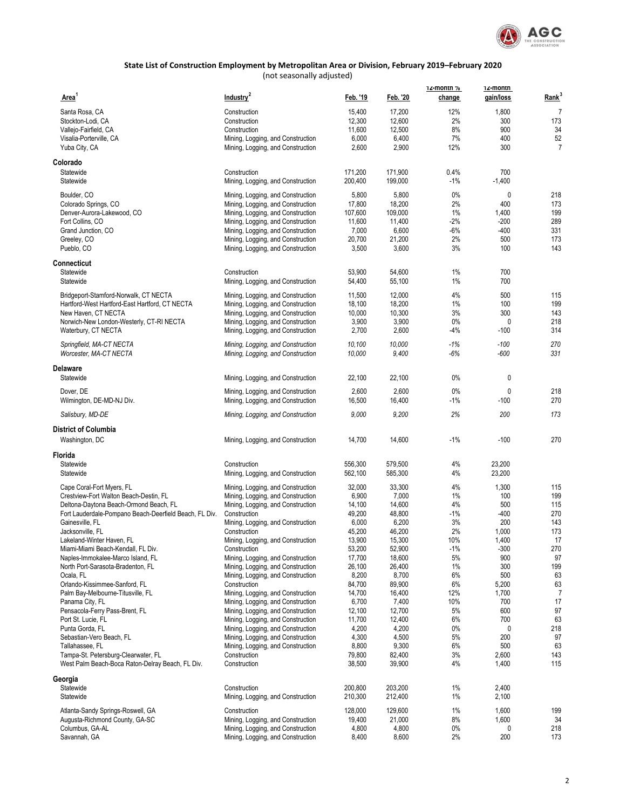

| Area <sup>1</sup>                                                   | Industry <sup>2</sup>                             | Feb. '19           | Feb. '20           | 12-month %<br>change | 12-montn<br>gain/loss | Rank <sup>3</sup> |
|---------------------------------------------------------------------|---------------------------------------------------|--------------------|--------------------|----------------------|-----------------------|-------------------|
|                                                                     |                                                   |                    |                    |                      |                       |                   |
| Santa Rosa, CA                                                      | Construction                                      | 15,400             | 17,200             | 12%                  | 1,800                 | $\overline{7}$    |
| Stockton-Lodi, CA                                                   | Construction                                      | 12,300             | 12,600             | 2%                   | 300                   | 173               |
| Vallejo-Fairfield, CA                                               | Construction                                      | 11,600             | 12,500             | 8%                   | 900                   | 34                |
| Visalia-Porterville, CA                                             | Mining, Logging, and Construction                 | 6,000              | 6,400              | 7%                   | 400                   | 52                |
| Yuba City, CA                                                       | Mining, Logging, and Construction                 | 2,600              | 2,900              | 12%                  | 300                   | $\overline{7}$    |
| Colorado                                                            |                                                   |                    |                    |                      |                       |                   |
| Statewide                                                           | Construction                                      | 171,200            | 171,900            | 0.4%                 | 700                   |                   |
| Statewide                                                           | Mining, Logging, and Construction                 | 200,400            | 199,000            | $-1%$                | $-1,400$              |                   |
| Boulder, CO                                                         | Mining, Logging, and Construction                 | 5,800              | 5,800              | 0%                   | 0                     | 218               |
| Colorado Springs, CO                                                | Mining, Logging, and Construction                 | 17,800             | 18,200             | 2%                   | 400                   | 173               |
| Denver-Aurora-Lakewood, CO                                          | Mining, Logging, and Construction                 | 107,600            | 109,000            | 1%                   | 1,400                 | 199               |
| Fort Collins, CO                                                    | Mining, Logging, and Construction                 | 11,600             | 11,400             | $-2%$                | $-200$                | 289               |
| Grand Junction, CO                                                  | Mining, Logging, and Construction                 | 7,000              | 6,600              | $-6%$                | $-400$                | 331               |
| Greeley, CO                                                         | Mining, Logging, and Construction                 | 20,700             | 21,200             | 2%                   | 500                   | 173               |
| Pueblo, CO                                                          | Mining, Logging, and Construction                 | 3,500              | 3,600              | 3%                   | 100                   | 143               |
| Connecticut                                                         |                                                   |                    |                    |                      |                       |                   |
| Statewide                                                           | Construction                                      | 53,900             | 54,600             | 1%                   | 700                   |                   |
| Statewide                                                           | Mining, Logging, and Construction                 | 54,400             | 55,100             | 1%                   | 700                   |                   |
| Bridgeport-Stamford-Norwalk, CT NECTA                               | Mining, Logging, and Construction                 | 11,500             | 12,000             | 4%                   | 500                   | 115               |
| Hartford-West Hartford-East Hartford, CT NECTA                      | Mining, Logging, and Construction                 | 18,100             | 18,200             | 1%                   | 100                   | 199               |
| New Haven, CT NECTA                                                 | Mining, Logging, and Construction                 | 10,000             | 10,300             | 3%                   | 300                   | 143               |
| Norwich-New London-Westerly, CT-RI NECTA                            | Mining, Logging, and Construction                 | 3,900              | 3,900              | 0%                   | 0                     | 218               |
| Waterbury, CT NECTA                                                 | Mining, Logging, and Construction                 | 2,700              | 2,600              | -4%                  | $-100$                | 314               |
| Springfield, MA-CT NECTA                                            | Mining, Logging, and Construction                 | 10,100             | 10,000             | -1%                  | $-100$                | 270               |
| Worcester, MA-CT NECTA                                              | Mining, Logging, and Construction                 | 10,000             | 9,400              | $-6%$                | $-600$                | 331               |
| Delaware                                                            |                                                   |                    |                    |                      |                       |                   |
| Statewide                                                           | Mining, Logging, and Construction                 | 22,100             | 22,100             | 0%                   | 0                     |                   |
| Dover, DE                                                           | Mining, Logging, and Construction                 | 2,600              | 2,600              | 0%                   | 0                     | 218               |
| Wilmington, DE-MD-NJ Div.                                           | Mining, Logging, and Construction                 | 16,500             | 16,400             | $-1%$                | $-100$                | 270               |
| Salisbury, MD-DE                                                    | Mining, Logging, and Construction                 | 9,000              | 9,200              | 2%                   | 200                   | 173               |
| <b>District of Columbia</b>                                         |                                                   |                    |                    |                      |                       |                   |
| Washington, DC                                                      | Mining, Logging, and Construction                 | 14,700             | 14,600             | $-1%$                | $-100$                | 270               |
| Florida                                                             |                                                   |                    |                    |                      |                       |                   |
| Statewide<br>Statewide                                              | Construction<br>Mining, Logging, and Construction | 556,300<br>562,100 | 579,500<br>585,300 | 4%<br>4%             | 23,200<br>23,200      |                   |
|                                                                     |                                                   |                    |                    |                      |                       |                   |
| Cape Coral-Fort Myers, FL                                           | Mining, Logging, and Construction                 | 32,000             | 33,300             | 4%                   | 1,300                 | 115               |
| Crestview-Fort Walton Beach-Destin, FL                              | Mining, Logging, and Construction                 | 6,900              | 7,000              | 1%                   | 100                   | 199               |
| Deltona-Daytona Beach-Ormond Beach, FL                              | Mining, Logging, and Construction                 | 14,100             | 14,600             | 4%                   | 500                   | 115               |
| Fort Lauderdale-Pompano Beach-Deerfield Beach, FL Div.              | Construction                                      | 49,200             | 48,800             | $-1%$                | $-400$                | 270               |
| Gainesville, FL                                                     | Mining, Logging, and Construction                 | 6,000              | 6,200              | 3%                   | 200                   | 143               |
| Jacksonville, FL                                                    | Construction                                      | 45,200             | 46,200             | 2%                   | 1,000                 | 173               |
| Lakeland-Winter Haven, FL                                           | Mining, Logging, and Construction                 | 13,900             | 15,300             | 10%                  | 1,400                 | 17                |
| Miami-Miami Beach-Kendall, FL Div.                                  | Construction                                      | 53,200             | 52,900             | $-1\%$               | $-300$                | 270               |
| Naples-Immokalee-Marco Island, FL                                   | Mining, Logging, and Construction                 | 17,700             | 18,600             | 5%                   | 900                   | 97                |
| North Port-Sarasota-Bradenton, FL                                   | Mining, Logging, and Construction                 | 26,100             | 26,400             | 1%                   | 300                   | 199               |
| Ocala, FL                                                           | Mining, Logging, and Construction                 | 8,200              | 8,700              | 6%                   | 500                   | 63                |
| Orlando-Kissimmee-Sanford, FL                                       | Construction                                      | 84,700             | 89,900             | 6%                   | 5,200                 | 63                |
| Palm Bay-Melbourne-Titusville, FL                                   | Mining, Logging, and Construction                 | 14,700             | 16,400             | 12%                  | 1,700                 | $\overline{7}$    |
| Panama City, FL                                                     | Mining, Logging, and Construction                 | 6,700              | 7,400              | 10%                  | 700                   | 17                |
| Pensacola-Ferry Pass-Brent, FL                                      | Mining, Logging, and Construction                 | 12,100             | 12,700             | 5%                   | 600                   | 97                |
| Port St. Lucie, FL                                                  | Mining, Logging, and Construction                 | 11,700             | 12,400             | 6%                   | 700                   | 63                |
| Punta Gorda, FL                                                     | Mining, Logging, and Construction                 | 4,200              | 4,200              | $0\%$                | 0                     | 218               |
| Sebastian-Vero Beach, FL                                            | Mining, Logging, and Construction                 | 4,300              | 4,500              | 5%                   | 200                   | 97                |
| Tallahassee, FL                                                     | Mining, Logging, and Construction                 | 8,800              | 9,300              | 6%                   | 500                   | 63                |
| Tampa-St. Petersburg-Clearwater, FL                                 | Construction                                      | 79,800             | 82,400             | 3%                   | 2,600                 | 143               |
| West Palm Beach-Boca Raton-Delray Beach, FL Div.                    | Construction                                      | 38,500             | 39,900             | 4%                   | 1,400                 | 115               |
| Georgia                                                             |                                                   |                    |                    |                      |                       |                   |
| Statewide<br>Statewide                                              | Construction<br>Mining, Logging, and Construction | 200,800<br>210,300 | 203,200<br>212,400 | 1%<br>1%             | 2,400<br>2,100        |                   |
|                                                                     |                                                   |                    |                    |                      |                       |                   |
| Atlanta-Sandy Springs-Roswell, GA<br>Augusta-Richmond County, GA-SC | Construction<br>Mining, Logging, and Construction | 128,000<br>19,400  | 129,600<br>21,000  | 1%<br>8%             | 1,600<br>1,600        | 199<br>34         |
| Columbus, GA-AL                                                     | Mining, Logging, and Construction                 | 4,800              | 4,800              | $0\%$                | 0                     | 218               |
| Savannah, GA                                                        | Mining, Logging, and Construction                 | 8,400              | 8,600              | 2%                   | 200                   | 173               |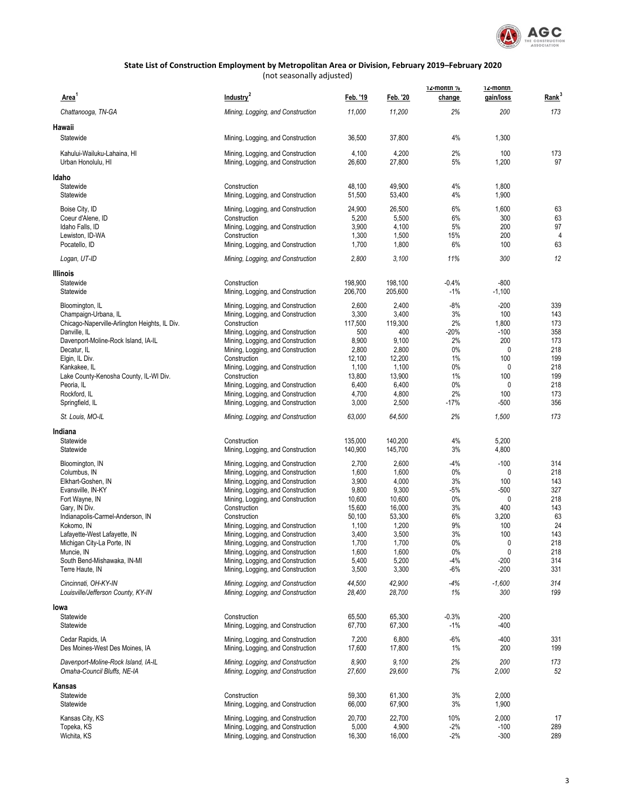

| Area <sup>1</sup>                                                  | Industry <sup>2</sup>                                                  | Feb. '19         | Feb. '20         | 12-month %<br>change | 12-montn<br>gain/loss | Rank <sup>3</sup> |
|--------------------------------------------------------------------|------------------------------------------------------------------------|------------------|------------------|----------------------|-----------------------|-------------------|
| Chattanooga, TN-GA                                                 | Mining, Logging, and Construction                                      | 11,000           | 11,200           | 2%                   | 200                   | 173               |
| Hawaii                                                             |                                                                        |                  |                  |                      |                       |                   |
| Statewide                                                          | Mining, Logging, and Construction                                      | 36,500           | 37,800           | 4%                   | 1,300                 |                   |
| Kahului-Wailuku-Lahaina, HI                                        | Mining, Logging, and Construction                                      | 4,100            | 4,200            | 2%                   | 100                   | 173               |
| Urban Honolulu, HI                                                 | Mining, Logging, and Construction                                      | 26,600           | 27,800           | 5%                   | 1,200                 | 97                |
| Idaho                                                              |                                                                        |                  |                  |                      |                       |                   |
| Statewide                                                          | Construction                                                           | 48,100           | 49,900           | 4%                   | 1,800                 |                   |
| Statewide                                                          | Mining, Logging, and Construction                                      | 51,500           | 53,400           | 4%                   | 1,900                 |                   |
| Boise City, ID<br>Coeur d'Alene, ID                                | Mining, Logging, and Construction<br>Construction                      | 24,900<br>5,200  | 26,500<br>5,500  | 6%<br>6%             | 1,600<br>300          | 63<br>63          |
| Idaho Falls, ID                                                    | Mining, Logging, and Construction                                      | 3,900            | 4,100            | 5%                   | 200                   | 97                |
| Lewiston, ID-WA                                                    | Construction                                                           | 1,300            | 1,500            | 15%                  | 200                   | 4                 |
| Pocatello, ID                                                      | Mining, Logging, and Construction                                      | 1,700            | 1,800            | 6%                   | 100                   | 63                |
| Logan, UT-ID                                                       | Mining, Logging, and Construction                                      | 2,800            | 3,100            | 11%                  | 300                   | 12                |
| Illinois                                                           |                                                                        |                  |                  |                      |                       |                   |
| Statewide                                                          | Construction                                                           | 198,900          | 198,100          | $-0.4%$              | $-800$                |                   |
| Statewide                                                          | Mining, Logging, and Construction                                      | 206,700          | 205,600          | $-1%$                | $-1,100$              |                   |
| Bloomington, IL                                                    | Mining, Logging, and Construction                                      | 2,600            | 2,400            | $-8%$                | $-200$                | 339               |
| Champaign-Urbana, IL                                               | Mining, Logging, and Construction                                      | 3,300            | 3,400            | 3%                   | 100                   | 143               |
| Chicago-Naperville-Arlington Heights, IL Div.                      | Construction                                                           | 117,500          | 119,300          | 2%                   | 1,800                 | 173               |
| Danville, IL<br>Davenport-Moline-Rock Island, IA-IL                | Mining, Logging, and Construction<br>Mining, Logging, and Construction | 500<br>8,900     | 400<br>9,100     | -20%<br>2%           | $-100$<br>200         | 358<br>173        |
| Decatur, IL                                                        | Mining, Logging, and Construction                                      | 2,800            | 2,800            | 0%                   | 0                     | 218               |
| Elgin, IL Div.                                                     | Construction                                                           | 12,100           | 12,200           | 1%                   | 100                   | 199               |
| Kankakee, IL                                                       | Mining, Logging, and Construction                                      | 1,100            | 1,100            | 0%                   | 0                     | 218               |
| Lake County-Kenosha County, IL-WI Div.                             | Construction                                                           | 13,800           | 13,900           | 1%                   | 100                   | 199               |
| Peoria, IL                                                         | Mining, Logging, and Construction                                      | 6,400            | 6,400            | 0%                   | 0                     | 218               |
| Rockford, IL<br>Springfield, IL                                    | Mining, Logging, and Construction<br>Mining, Logging, and Construction | 4,700<br>3,000   | 4,800<br>2,500   | 2%<br>$-17%$         | 100<br>$-500$         | 173<br>356        |
| St. Louis, MO-IL                                                   | Mining, Logging, and Construction                                      | 63,000           | 64,500           | 2%                   | 1,500                 | 173               |
| Indiana                                                            |                                                                        |                  |                  |                      |                       |                   |
| Statewide                                                          | Construction                                                           | 135,000          | 140,200          | 4%                   | 5,200                 |                   |
| Statewide                                                          | Mining, Logging, and Construction                                      | 140,900          | 145,700          | 3%                   | 4,800                 |                   |
| Bloomington, IN                                                    | Mining, Logging, and Construction                                      | 2,700            | 2,600            | -4%                  | $-100$                | 314               |
| Columbus, IN                                                       | Mining, Logging, and Construction                                      | 1,600            | 1,600            | 0%                   | 0                     | 218               |
| Elkhart-Goshen, IN                                                 | Mining, Logging, and Construction                                      | 3,900            | 4,000            | 3%                   | 100                   | 143               |
| Evansville, IN-KY                                                  | Mining, Logging, and Construction                                      | 9,800            | 9,300            | -5%<br>0%            | $-500$<br>0           | 327<br>218        |
| Fort Wayne, IN<br>Gary, IN Div.                                    | Mining, Logging, and Construction<br>Construction                      | 10,600<br>15,600 | 10,600<br>16,000 | 3%                   | 400                   | 143               |
| Indianapolis-Carmel-Anderson, IN                                   | Construction                                                           | 50,100           | 53,300           | 6%                   | 3,200                 | 63                |
| Kokomo, IN                                                         | Mining, Logging, and Construction                                      | 1,100            | 1,200            | 9%                   | 100                   | 24                |
| Lafayette-West Lafayette, IN                                       | Mining, Logging, and Construction                                      | 3,400            | 3,500            | 3%                   | 100                   | 143               |
| Michigan City-La Porte, IN                                         | Mining, Logging, and Construction                                      | 1,700            | 1,700            | 0%                   | 0                     | 218               |
| Muncie, IN                                                         | Mining, Logging, and Construction<br>Mining, Logging, and Construction | 1,600<br>5,400   | 1,600<br>5,200   | $0\%$<br>$-4%$       | 0<br>$-200$           | 218<br>314        |
| South Bend-Mishawaka, IN-MI<br>Terre Haute, IN                     | Mining, Logging, and Construction                                      | 3,500            | 3,300            | $-6%$                | $-200$                | 331               |
| Cincinnati, OH-KY-IN                                               | Mining, Logging, and Construction                                      | 44,500           | 42,900           | $-4%$                | $-1,600$              | 314               |
| Louisville/Jefferson County, KY-IN                                 | Mining, Logging, and Construction                                      | 28,400           | 28,700           | 1%                   | 300                   | 199               |
| lowa                                                               |                                                                        |                  |                  |                      |                       |                   |
| Statewide                                                          | Construction                                                           | 65,500           | 65,300           | $-0.3%$              | $-200$                |                   |
| Statewide                                                          | Mining, Logging, and Construction                                      | 67,700           | 67,300           | $-1%$                | $-400$                |                   |
| Cedar Rapids, IA                                                   | Mining, Logging, and Construction                                      | 7,200            | 6,800            | $-6%$                | $-400$                | 331               |
| Des Moines-West Des Moines, IA                                     | Mining, Logging, and Construction                                      | 17,600           | 17,800           | 1%                   | 200                   | 199               |
| Davenport-Moline-Rock Island, IA-IL<br>Omaha-Council Bluffs, NE-IA | Mining, Logging, and Construction<br>Mining, Logging, and Construction | 8,900<br>27,600  | 9,100<br>29,600  | 2%<br>7%             | 200<br>2,000          | 173<br>52         |
| Kansas                                                             |                                                                        |                  |                  |                      |                       |                   |
| Statewide                                                          | Construction                                                           | 59,300           | 61,300           | 3%                   | 2,000                 |                   |
| Statewide                                                          | Mining, Logging, and Construction                                      | 66,000           | 67,900           | 3%                   | 1,900                 |                   |
| Kansas City, KS                                                    | Mining, Logging, and Construction                                      | 20,700           | 22,700           | 10%                  | 2,000                 | 17                |
| Topeka, KS                                                         | Mining, Logging, and Construction                                      | 5,000            | 4,900            | $-2%$                | $-100$                | 289               |
| Wichita, KS                                                        | Mining, Logging, and Construction                                      | 16,300           | 16,000           | $-2%$                | $-300$                | 289               |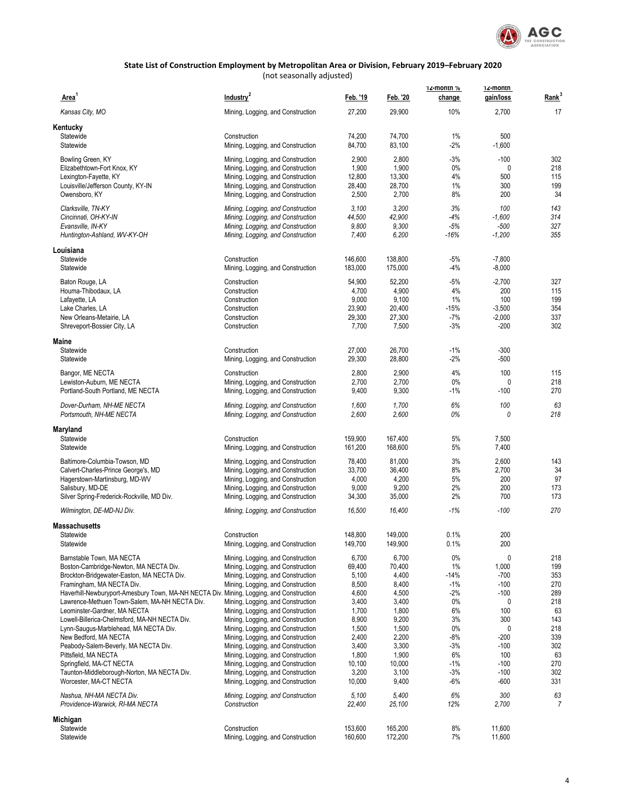

| Area <sup>1</sup>                                                                                                                        | Industry <sup>2</sup>                                                  | Feb. '19           | Feb. '20           | 12-montn %<br>change | 12-montn<br>gain/loss | Rank <sup>3</sup> |
|------------------------------------------------------------------------------------------------------------------------------------------|------------------------------------------------------------------------|--------------------|--------------------|----------------------|-----------------------|-------------------|
| Kansas City, MO                                                                                                                          | Mining, Logging, and Construction                                      | 27,200             | 29,900             | 10%                  | 2,700                 | 17                |
| Kentucky                                                                                                                                 |                                                                        |                    |                    |                      |                       |                   |
| Statewide                                                                                                                                | Construction                                                           | 74,200             | 74,700             | 1%                   | 500                   |                   |
| Statewide                                                                                                                                | Mining, Logging, and Construction                                      | 84,700             | 83,100             | $-2%$                | $-1,600$              |                   |
| Bowling Green, KY                                                                                                                        | Mining, Logging, and Construction                                      | 2,900              | 2,800              | $-3%$                | $-100$                | 302               |
| Elizabethtown-Fort Knox, KY                                                                                                              | Mining, Logging, and Construction                                      | 1,900              | 1,900<br>13,300    | $0\%$<br>4%          | 0<br>500              | 218<br>115        |
| Lexington-Fayette, KY<br>Louisville/Jefferson County, KY-IN                                                                              | Mining, Logging, and Construction<br>Mining, Logging, and Construction | 12,800<br>28,400   | 28,700             | 1%                   | 300                   | 199               |
| Owensboro, KY                                                                                                                            | Mining, Logging, and Construction                                      | 2,500              | 2,700              | 8%                   | 200                   | 34                |
| Clarksville, TN-KY                                                                                                                       | Mining, Logging, and Construction                                      | 3,100              | 3,200              | 3%                   | 100                   | 143               |
| Cincinnati, OH-KY-IN                                                                                                                     | Mining, Logging, and Construction                                      | 44,500             | 42,900             | $-4%$                | $-1,600$              | 314               |
| Evansville, IN-KY                                                                                                                        | Mining, Logging, and Construction                                      | 9,800              | 9,300              | $-5%$                | $-500$                | 327               |
| Huntington-Ashland, WV-KY-OH                                                                                                             | Mining, Logging, and Construction                                      | 7,400              | 6,200              | $-16%$               | $-1,200$              | 355               |
| Louisiana                                                                                                                                |                                                                        |                    |                    |                      |                       |                   |
| Statewide                                                                                                                                | Construction                                                           | 146,600            | 138,800            | $-5%$                | $-7,800$              |                   |
| Statewide                                                                                                                                | Mining, Logging, and Construction                                      | 183,000            | 175,000            | $-4%$                | $-8,000$              |                   |
| Baton Rouge, LA                                                                                                                          | Construction                                                           | 54,900             | 52,200             | $-5%$                | $-2,700$              | 327               |
| Houma-Thibodaux, LA                                                                                                                      | Construction<br>Construction                                           | 4,700              | 4,900              | 4%                   | 200                   | 115               |
| Lafayette, LA<br>Lake Charles, LA                                                                                                        | Construction                                                           | 9,000<br>23,900    | 9,100<br>20,400    | 1%<br>$-15%$         | 100<br>$-3,500$       | 199<br>354        |
| New Orleans-Metairie, LA                                                                                                                 | Construction                                                           | 29,300             | 27,300             | $-7%$                | $-2,000$              | 337               |
| Shreveport-Bossier City, LA                                                                                                              | Construction                                                           | 7,700              | 7,500              | $-3%$                | $-200$                | 302               |
| Maine                                                                                                                                    |                                                                        |                    |                    |                      |                       |                   |
| Statewide                                                                                                                                | Construction                                                           | 27,000             | 26,700             | $-1%$                | $-300$                |                   |
| Statewide                                                                                                                                | Mining, Logging, and Construction                                      | 29,300             | 28,800             | $-2%$                | $-500$                |                   |
| Bangor, ME NECTA                                                                                                                         | Construction                                                           | 2,800              | 2,900              | 4%                   | 100                   | 115               |
| Lewiston-Auburn, ME NECTA                                                                                                                | Mining, Logging, and Construction                                      | 2,700              | 2,700              | 0%                   | 0                     | 218               |
| Portland-South Portland, ME NECTA                                                                                                        | Mining, Logging, and Construction                                      | 9,400              | 9,300              | $-1%$                | $-100$                | 270               |
| Dover-Durham, NH-ME NECTA                                                                                                                | Mining, Logging, and Construction                                      | 1,600              | 1,700              | 6%                   | 100                   | 63                |
| Portsmouth, NH-ME NECTA                                                                                                                  | Mining, Logging, and Construction                                      | 2,600              | 2,600              | 0%                   | 0                     | 218               |
| Maryland                                                                                                                                 |                                                                        |                    |                    |                      |                       |                   |
| Statewide<br>Statewide                                                                                                                   | Construction<br>Mining, Logging, and Construction                      | 159,900<br>161,200 | 167,400<br>168,600 | 5%<br>5%             | 7,500<br>7,400        |                   |
|                                                                                                                                          |                                                                        |                    |                    |                      |                       |                   |
| Baltimore-Columbia-Towson, MD                                                                                                            | Mining, Logging, and Construction                                      | 78,400<br>33,700   | 81,000             | 3%<br>8%             | 2,600                 | 143<br>34         |
| Calvert-Charles-Prince George's, MD<br>Hagerstown-Martinsburg, MD-WV                                                                     | Mining, Logging, and Construction<br>Mining, Logging, and Construction | 4,000              | 36,400<br>4,200    | 5%                   | 2,700<br>200          | 97                |
| Salisbury, MD-DE                                                                                                                         | Mining, Logging, and Construction                                      | 9,000              | 9,200              | 2%                   | 200                   | 173               |
| Silver Spring-Frederick-Rockville, MD Div.                                                                                               | Mining, Logging, and Construction                                      | 34,300             | 35,000             | 2%                   | 700                   | 173               |
| Wilmington, DE-MD-NJ Div.                                                                                                                | Mining, Logging, and Construction                                      | 16,500             | 16,400             | $-1%$                | $-100$                | 270               |
| <b>Massachusetts</b>                                                                                                                     |                                                                        |                    |                    |                      |                       |                   |
| Statewide                                                                                                                                | Construction                                                           | 148,800            | 149,000            | 0.1%                 | 200                   |                   |
| Statewide                                                                                                                                | Mining, Logging, and Construction                                      | 149,700            | 149,900            | 0.1%                 | 200                   |                   |
| Barnstable Town, MA NECTA                                                                                                                | Mining, Logging, and Construction                                      | 6,700              | 6,700              | $0\%$                | 0                     | 218               |
| Boston-Cambridge-Newton, MA NECTA Div.                                                                                                   | Mining, Logging, and Construction                                      | 69,400             | 70,400             | $1\%$                | 1,000                 | 199               |
| Brockton-Bridgewater-Easton, MA NECTA Div.                                                                                               | Mining, Logging, and Construction                                      | 5,100              | 4,400              | $-14%$               | -700                  | 353               |
| Framingham, MA NECTA Div.                                                                                                                | Mining, Logging, and Construction                                      | 8,500              | 8,400              | $-1\%$               | $-100$                | 270               |
| Haverhill-Newburyport-Amesbury Town, MA-NH NECTA Div. Mining, Logging, and Construction<br>Lawrence-Methuen Town-Salem, MA-NH NECTA Div. | Mining, Logging, and Construction                                      | 4,600<br>3,400     | 4,500<br>3,400     | $-2\%$<br>$0\%$      | $-100$<br>0           | 289<br>218        |
| Leominster-Gardner, MA NECTA                                                                                                             | Mining, Logging, and Construction                                      | 1,700              | 1,800              | 6%                   | 100                   | 63                |
| Lowell-Billerica-Chelmsford, MA-NH NECTA Div.                                                                                            | Mining, Logging, and Construction                                      | 8,900              | 9,200              | 3%                   | 300                   | 143               |
| Lynn-Saugus-Marblehead, MA NECTA Div.                                                                                                    | Mining, Logging, and Construction                                      | 1,500              | 1,500              | $0\%$                | 0                     | 218               |
| New Bedford, MA NECTA                                                                                                                    | Mining, Logging, and Construction                                      | 2,400              | 2,200              | -8%                  | $-200$                | 339               |
| Peabody-Salem-Beverly, MA NECTA Div.                                                                                                     | Mining, Logging, and Construction                                      | 3,400              | 3,300              | $-3%$                | $-100$                | 302               |
| Pittsfield, MA NECTA                                                                                                                     | Mining, Logging, and Construction                                      | 1,800              | 1,900              | 6%                   | 100                   | 63                |
| Springfield, MA-CT NECTA<br>Taunton-Middleborough-Norton, MA NECTA Div.                                                                  | Mining, Logging, and Construction<br>Mining, Logging, and Construction | 10,100<br>3,200    | 10,000<br>3,100    | $-1\%$<br>$-3%$      | $-100$<br>$-100$      | 270<br>302        |
| Worcester, MA-CT NECTA                                                                                                                   | Mining, Logging, and Construction                                      | 10,000             | 9,400              | -6%                  | $-600$                | 331               |
| Nashua, NH-MA NECTA Div.                                                                                                                 | Mining, Logging, and Construction                                      | 5,100              | 5,400              | 6%                   | 300                   | 63                |
| Providence-Warwick, RI-MA NECTA                                                                                                          | Construction                                                           | 22,400             | 25,100             | 12%                  | 2,700                 | 7                 |
| Michigan                                                                                                                                 |                                                                        |                    |                    |                      |                       |                   |
| Statewide                                                                                                                                | Construction                                                           | 153,600            | 165,200            | $8\%$                | 11,600                |                   |
| Statewide                                                                                                                                | Mining, Logging, and Construction                                      | 160,600            | 172,200            | 7%                   | 11,600                |                   |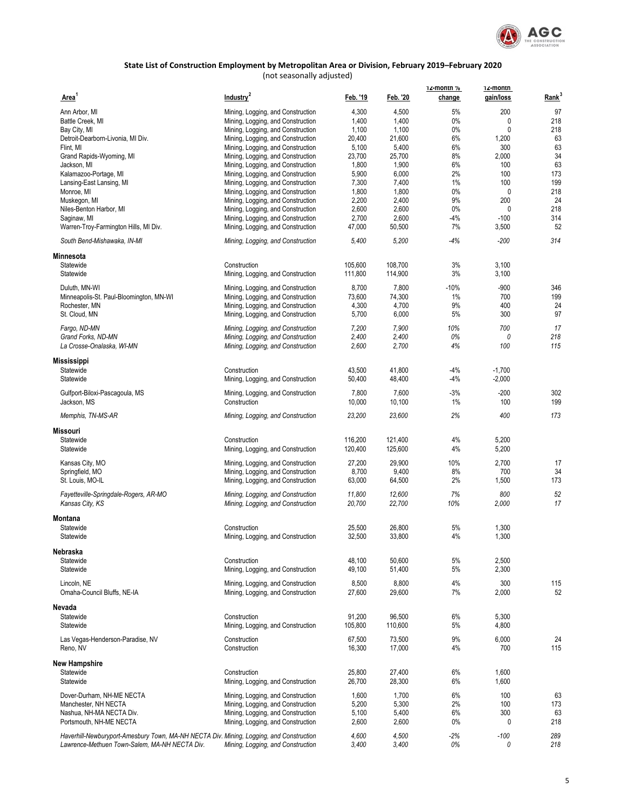

| Area <sup>1</sup>                                                                       | Industry <sup>2</sup>                                                  | Feb. '19        | Feb. '20        | 12-montn %<br>change | 12-montn<br>gain/loss | Rank <sup>3</sup> |
|-----------------------------------------------------------------------------------------|------------------------------------------------------------------------|-----------------|-----------------|----------------------|-----------------------|-------------------|
| Ann Arbor, MI                                                                           | Mining, Logging, and Construction                                      | 4,300           | 4,500           | 5%                   | 200                   | 97                |
| Battle Creek, MI                                                                        | Mining, Logging, and Construction                                      | 1,400           | 1,400           | 0%                   | 0                     | 218               |
| Bay City, MI                                                                            | Mining, Logging, and Construction                                      | 1,100           | 1,100           | 0%                   | 0                     | 218               |
|                                                                                         |                                                                        |                 |                 |                      |                       |                   |
| Detroit-Dearborn-Livonia, MI Div.                                                       | Mining, Logging, and Construction                                      | 20,400          | 21,600          | 6%                   | 1,200                 | 63                |
| Flint, MI                                                                               | Mining, Logging, and Construction                                      | 5,100           | 5,400           | 6%                   | 300                   | 63                |
| Grand Rapids-Wyoming, MI                                                                | Mining, Logging, and Construction                                      | 23,700          | 25,700          | 8%                   | 2,000                 | 34                |
| Jackson, MI                                                                             | Mining, Logging, and Construction                                      | 1,800           | 1,900           | 6%                   | 100                   | 63                |
| Kalamazoo-Portage, MI                                                                   | Mining, Logging, and Construction                                      | 5,900           | 6,000           | 2%                   | 100                   | 173               |
| Lansing-East Lansing, MI                                                                | Mining, Logging, and Construction                                      | 7,300           | 7,400           | 1%                   | 100                   | 199               |
| Monroe, MI                                                                              | Mining, Logging, and Construction                                      | 1,800           | 1,800           | 0%                   | 0                     | 218               |
| Muskegon, MI                                                                            | Mining, Logging, and Construction                                      | 2,200           | 2,400           | 9%                   | 200                   | 24                |
| Niles-Benton Harbor, MI                                                                 | Mining, Logging, and Construction                                      | 2,600           | 2,600           | $0\%$                | 0                     | 218               |
| Saqinaw, MI                                                                             | Mining, Logging, and Construction                                      | 2,700           | 2,600           | $-4%$                | $-100$                | 314               |
| Warren-Troy-Farmington Hills, MI Div.                                                   | Mining, Logging, and Construction                                      | 47,000          | 50,500          | 7%                   | 3,500                 | 52                |
| South Bend-Mishawaka, IN-MI                                                             | Mining, Logging, and Construction                                      | 5,400           | 5,200           | $-4%$                | $-200$                | 314               |
|                                                                                         |                                                                        |                 |                 |                      |                       |                   |
| Minnesota                                                                               |                                                                        |                 |                 |                      |                       |                   |
| Statewide                                                                               | Construction                                                           | 105,600         | 108,700         | 3%                   | 3,100                 |                   |
| Statewide                                                                               | Mining, Logging, and Construction                                      | 111,800         | 114,900         | 3%                   | 3,100                 |                   |
| Duluth, MN-WI                                                                           | Mining, Logging, and Construction                                      | 8,700           | 7,800           | $-10%$               | $-900$                | 346               |
| Minneapolis-St. Paul-Bloomington, MN-WI                                                 | Mining, Logging, and Construction                                      | 73,600          | 74,300          | 1%                   | 700                   | 199               |
| Rochester, MN                                                                           | Mining, Logging, and Construction                                      | 4,300           | 4,700           | 9%                   | 400                   | 24                |
|                                                                                         |                                                                        |                 |                 |                      |                       |                   |
| St. Cloud, MN                                                                           | Mining, Logging, and Construction                                      | 5,700           | 6,000           | 5%                   | 300                   | 97                |
| Fargo, ND-MN                                                                            | Mining, Logging, and Construction                                      | 7,200           | 7,900           | 10%                  | 700                   | 17                |
| Grand Forks, ND-MN                                                                      | Mining, Logging, and Construction                                      | 2,400           | 2,400           | 0%                   | 0                     | 218               |
| La Crosse-Onalaska, WI-MN                                                               | Mining, Logging, and Construction                                      | 2,600           | 2,700           | 4%                   | 100                   | 115               |
| Mississippi                                                                             |                                                                        |                 |                 |                      |                       |                   |
| Statewide                                                                               | Construction                                                           | 43,500          | 41,800          | $-4%$                | $-1,700$              |                   |
| Statewide                                                                               | Mining, Logging, and Construction                                      | 50,400          | 48,400          | $-4%$                | $-2,000$              |                   |
|                                                                                         |                                                                        |                 |                 |                      |                       |                   |
| Gulfport-Biloxi-Pascagoula, MS                                                          | Mining, Logging, and Construction                                      | 7,800           | 7,600           | $-3%$                | $-200$                | 302               |
| Jackson, MS                                                                             | Construction                                                           | 10,000          | 10,100          | 1%                   | 100                   | 199               |
| Memphis, TN-MS-AR                                                                       | Mining, Logging, and Construction                                      | 23,200          | 23,600          | 2%                   | 400                   | 173               |
| Missouri                                                                                |                                                                        |                 |                 |                      |                       |                   |
| Statewide                                                                               | Construction                                                           | 116,200         | 121,400         | 4%                   | 5,200                 |                   |
| Statewide                                                                               | Mining, Logging, and Construction                                      | 120,400         | 125,600         | 4%                   | 5,200                 |                   |
|                                                                                         |                                                                        |                 |                 |                      |                       |                   |
| Kansas City, MO                                                                         | Mining, Logging, and Construction                                      | 27,200          | 29,900          | 10%                  | 2,700                 | 17                |
| Springfield, MO                                                                         | Mining, Logging, and Construction                                      | 8,700           | 9,400           | 8%                   | 700                   | 34                |
| St. Louis, MO-IL                                                                        | Mining, Logging, and Construction                                      | 63,000          | 64,500          | 2%                   | 1,500                 | 173               |
|                                                                                         |                                                                        |                 |                 |                      |                       |                   |
| Fayetteville-Springdale-Rogers, AR-MO                                                   | Mining, Logging, and Construction                                      | 11,800          | 12,600          | 7%                   | 800                   | 52                |
| Kansas City, KS                                                                         | Mining, Logging, and Construction                                      | 20,700          | 22,700          | 10%                  | 2,000                 | 17                |
| Montana                                                                                 |                                                                        |                 |                 |                      |                       |                   |
| Statewide                                                                               | Construction                                                           | 25,500          | 26,800          | 5%                   | 1,300                 |                   |
| Statewide                                                                               | Mining, Logging, and Construction                                      | 32,500          | 33,800          | 4%                   | 1,300                 |                   |
|                                                                                         |                                                                        |                 |                 |                      |                       |                   |
| Nebraska                                                                                |                                                                        |                 |                 |                      |                       |                   |
| Statewide                                                                               | Construction                                                           | 48,100          | 50,600          | 5%                   | 2,500                 |                   |
| Statewide                                                                               | Mining, Logging, and Construction                                      | 49,100          | 51,400          | 5%                   | 2,300                 |                   |
| Lincoln, NE                                                                             |                                                                        |                 |                 |                      |                       |                   |
| Omaha-Council Bluffs, NE-IA                                                             | Mining, Logging, and Construction<br>Mining, Logging, and Construction | 8,500<br>27,600 | 8,800<br>29,600 | 4%<br>7%             | 300<br>2,000          | 115<br>52         |
|                                                                                         |                                                                        |                 |                 |                      |                       |                   |
| Nevada                                                                                  |                                                                        |                 |                 |                      |                       |                   |
| Statewide                                                                               | Construction                                                           | 91,200          | 96,500          | 6%                   | 5,300                 |                   |
| Statewide                                                                               | Mining, Logging, and Construction                                      | 105,800         | 110,600         | 5%                   | 4,800                 |                   |
|                                                                                         |                                                                        |                 |                 |                      |                       |                   |
| Las Vegas-Henderson-Paradise, NV                                                        | Construction                                                           | 67,500          | 73,500          | 9%                   | 6,000                 | 24                |
| Reno, NV                                                                                | Construction                                                           | 16,300          | 17,000          | 4%                   | 700                   | 115               |
| New Hampshire                                                                           |                                                                        |                 |                 |                      |                       |                   |
| Statewide                                                                               | Construction                                                           | 25,800          | 27,400          | 6%                   | 1,600                 |                   |
|                                                                                         |                                                                        |                 |                 |                      |                       |                   |
| Statewide                                                                               | Mining, Logging, and Construction                                      | 26,700          | 28,300          | 6%                   | 1,600                 |                   |
| Dover-Durham, NH-ME NECTA                                                               | Mining, Logging, and Construction                                      | 1,600           | 1,700           | 6%                   | 100                   | 63                |
| Manchester, NH NECTA                                                                    | Mining, Logging, and Construction                                      | 5,200           | 5,300           | 2%                   | 100                   | 173               |
| Nashua, NH-MA NECTA Div.                                                                | Mining, Logging, and Construction                                      | 5,100           | 5,400           | 6%                   | 300                   | 63                |
| Portsmouth, NH-ME NECTA                                                                 | Mining, Logging, and Construction                                      | 2,600           | 2,600           | $0\%$                | 0                     | 218               |
|                                                                                         |                                                                        |                 |                 |                      |                       |                   |
| Haverhill-Newburyport-Amesbury Town, MA-NH NECTA Div. Mining, Logging, and Construction |                                                                        | 4,600           | 4,500           | $-2%$                | -100                  | 289               |
| Lawrence-Methuen Town-Salem, MA-NH NECTA Div.                                           | Mining, Logging, and Construction                                      | 3,400           | 3,400           | 0%                   | 0                     | 218               |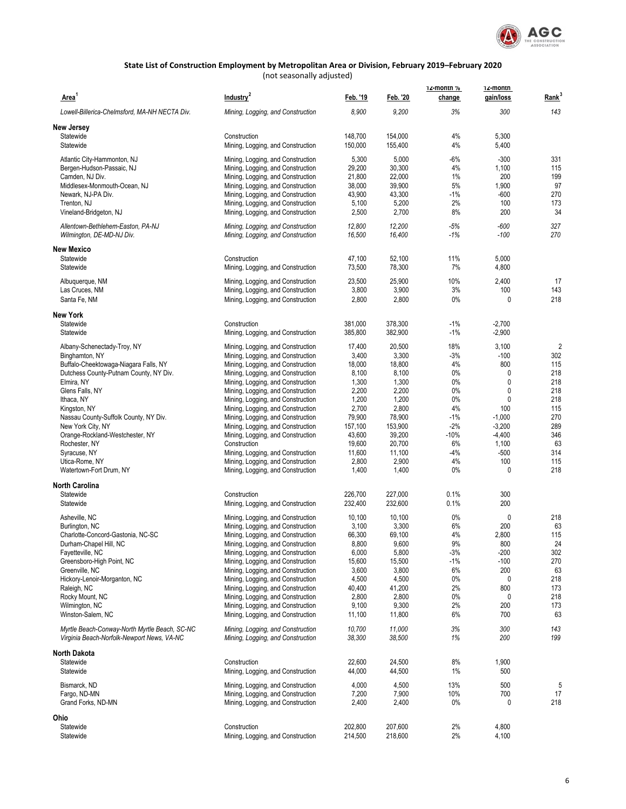

| Area <sup>1</sup>                                                                           | Industry <sup>2</sup>                                                  | Feb. '19         | Feb. '20         | 12-month %<br>change | 12-montn<br>gain/loss | Rank <sup>3</sup> |
|---------------------------------------------------------------------------------------------|------------------------------------------------------------------------|------------------|------------------|----------------------|-----------------------|-------------------|
| Lowell-Billerica-Chelmsford, MA-NH NECTA Div.                                               | Mining, Logging, and Construction                                      | 8,900            | 9,200            | 3%                   | 300                   | 143               |
| New Jersey                                                                                  |                                                                        |                  |                  |                      |                       |                   |
| Statewide                                                                                   | Construction                                                           | 148,700          | 154,000          | 4%                   | 5,300                 |                   |
| Statewide                                                                                   | Mining, Logging, and Construction                                      | 150,000          | 155,400          | 4%                   | 5,400                 |                   |
| Atlantic City-Hammonton, NJ                                                                 | Mining, Logging, and Construction                                      | 5,300            | 5,000            | $-6%$                | $-300$                | 331               |
| Bergen-Hudson-Passaic, NJ                                                                   | Mining, Logging, and Construction                                      | 29,200           | 30,300           | 4%                   | 1,100                 | 115               |
| Camden, NJ Div.                                                                             | Mining, Logging, and Construction                                      | 21,800           | 22,000           | 1%                   | 200                   | 199               |
| Middlesex-Monmouth-Ocean, NJ                                                                | Mining, Logging, and Construction<br>Mining, Logging, and Construction | 38,000<br>43,900 | 39,900<br>43,300 | 5%<br>$-1\%$         | 1,900<br>$-600$       | 97<br>270         |
| Newark, NJ-PA Div.<br>Trenton, NJ                                                           | Mining, Logging, and Construction                                      | 5,100            | 5,200            | 2%                   | 100                   | 173               |
| Vineland-Bridgeton, NJ                                                                      | Mining, Logging, and Construction                                      | 2,500            | 2,700            | 8%                   | 200                   | 34                |
| Allentown-Bethlehem-Easton, PA-NJ<br>Wilmington, DE-MD-NJ Div.                              | Mining, Logging, and Construction<br>Mining, Logging, and Construction | 12,800<br>16,500 | 12,200<br>16,400 | $-5%$<br>$-1%$       | $-600$<br>$-100$      | 327<br>270        |
| <b>New Mexico</b>                                                                           |                                                                        |                  |                  |                      |                       |                   |
| Statewide                                                                                   | Construction                                                           | 47,100           | 52,100           | 11%                  | 5,000                 |                   |
| Statewide                                                                                   | Mining, Logging, and Construction                                      | 73,500           | 78,300           | 7%                   | 4,800                 |                   |
| Albuquerque, NM                                                                             | Mining, Logging, and Construction                                      | 23,500           | 25,900           | 10%                  | 2,400                 | 17                |
| Las Cruces, NM                                                                              | Mining, Logging, and Construction                                      | 3,800            | 3,900            | 3%                   | 100                   | 143               |
| Santa Fe, NM                                                                                | Mining, Logging, and Construction                                      | 2,800            | 2,800            | $0\%$                | 0                     | 218               |
| <b>New York</b>                                                                             |                                                                        |                  |                  |                      |                       |                   |
| Statewide                                                                                   | Construction                                                           | 381,000          | 378,300          | $-1\%$               | $-2,700$              |                   |
| Statewide                                                                                   | Mining, Logging, and Construction                                      | 385.800          | 382,900          | $-1\%$               | $-2,900$              |                   |
| Albany-Schenectady-Troy, NY                                                                 | Mining, Logging, and Construction                                      | 17,400           | 20,500           | 18%                  | 3,100                 | $\overline{2}$    |
| Binghamton, NY                                                                              | Mining, Logging, and Construction                                      | 3,400            | 3,300            | $-3%$                | $-100$                | 302               |
| Buffalo-Cheektowaga-Niagara Falls, NY                                                       | Mining, Logging, and Construction                                      | 18,000           | 18,800           | 4%                   | 800                   | 115               |
| Dutchess County-Putnam County, NY Div.<br>Elmira, NY                                        | Mining, Logging, and Construction<br>Mining, Logging, and Construction | 8,100<br>1,300   | 8,100<br>1,300   | $0\%$<br>$0\%$       | 0<br>0                | 218<br>218        |
| Glens Falls, NY                                                                             | Mining, Logging, and Construction                                      | 2,200            | 2,200            | $0\%$                | 0                     | 218               |
| Ithaca, NY                                                                                  | Mining, Logging, and Construction                                      | 1,200            | 1,200            | $0\%$                | $\mathbf{0}$          | 218               |
| Kingston, NY                                                                                | Mining, Logging, and Construction                                      | 2,700            | 2,800            | 4%                   | 100                   | 115               |
| Nassau County-Suffolk County, NY Div.                                                       | Mining, Logging, and Construction                                      | 79,900           | 78,900           | $-1\%$               | $-1,000$              | 270               |
| New York City, NY                                                                           | Mining, Logging, and Construction                                      | 157,100          | 153,900          | $-2%$                | $-3,200$              | 289               |
| Orange-Rockland-Westchester, NY                                                             | Mining, Logging, and Construction                                      | 43,600<br>19,600 | 39,200<br>20,700 | $-10%$<br>6%         | $-4,400$              | 346<br>63         |
| Rochester, NY<br>Syracuse, NY                                                               | Construction<br>Mining, Logging, and Construction                      | 11,600           | 11,100           | -4%                  | 1,100<br>$-500$       | 314               |
| Utica-Rome, NY                                                                              | Mining, Logging, and Construction                                      | 2,800            | 2,900            | 4%                   | 100                   | 115               |
| Watertown-Fort Drum, NY                                                                     | Mining, Logging, and Construction                                      | 1,400            | 1,400            | $0\%$                | 0                     | 218               |
| <b>North Carolina</b>                                                                       |                                                                        |                  |                  |                      |                       |                   |
| Statewide                                                                                   | Construction                                                           | 226.700          | 227.000          | 0.1%                 | 300                   |                   |
| Statewide                                                                                   | Mining, Logging, and Construction                                      | 232,400          | 232,600          | 0.1%                 | 200                   |                   |
| Asheville, NC                                                                               | Mining, Logging, and Construction                                      | 10,100           | 10,100           | 0%                   | 0                     | 218               |
| Burlington, NC                                                                              | Mining, Logging, and Construction                                      | 3,100            | 3,300            | 6%                   | 200                   | 63                |
| Charlotte-Concord-Gastonia, NC-SC                                                           | Mining, Logging, and Construction                                      | 66,300           | 69,100           | 4%                   | 2,800                 | 115               |
| Durham-Chapel Hill, NC                                                                      | Mining, Logging, and Construction                                      | 8,800            | 9,600            | 9%                   | 800                   | 24                |
| Fayetteville, NC<br>Greensboro-High Point, NC                                               | Mining, Logging, and Construction<br>Mining, Logging, and Construction | 6,000<br>15,600  | 5,800<br>15,500  | -3%<br>$-1\%$        | $-200$<br>$-100$      | 302<br>270        |
| Greenville, NC                                                                              | Mining, Logging, and Construction                                      | 3,600            | 3,800            | 6%                   | 200                   | 63                |
| Hickory-Lenoir-Morganton, NC                                                                | Mining, Logging, and Construction                                      | 4,500            | 4,500            | 0%                   | 0                     | 218               |
| Raleigh, NC                                                                                 | Mining, Logging, and Construction                                      | 40,400           | 41,200           | 2%                   | 800                   | 173               |
| Rocky Mount, NC                                                                             | Mining, Logging, and Construction                                      | 2,800            | 2,800            | $0\%$                | 0                     | 218               |
| Wilmington, NC<br>Winston-Salem, NC                                                         | Mining, Logging, and Construction<br>Mining, Logging, and Construction | 9,100<br>11,100  | 9,300<br>11,800  | 2%<br>6%             | 200<br>700            | 173<br>63         |
|                                                                                             |                                                                        |                  |                  |                      |                       |                   |
| Myrtle Beach-Conway-North Myrtle Beach, SC-NC<br>Virginia Beach-Norfolk-Newport News, VA-NC | Mining, Logging, and Construction<br>Mining, Logging, and Construction | 10,700<br>38,300 | 11,000<br>38,500 | 3%<br>1%             | 300<br>200            | 143<br>199        |
| <b>North Dakota</b>                                                                         |                                                                        |                  |                  |                      |                       |                   |
| Statewide                                                                                   | Construction                                                           | 22,600           | 24,500           | 8%                   | 1,900                 |                   |
| Statewide                                                                                   | Mining, Logging, and Construction                                      | 44,000           | 44,500           | 1%                   | 500                   |                   |
| Bismarck, ND                                                                                | Mining, Logging, and Construction                                      | 4,000            | 4,500            | 13%                  | 500                   | 5                 |
| Fargo, ND-MN                                                                                | Mining, Logging, and Construction                                      | 7,200            | 7,900            | 10%                  | 700                   | 17                |
| Grand Forks, ND-MN                                                                          | Mining, Logging, and Construction                                      | 2,400            | 2,400            | $0\%$                | 0                     | 218               |
| Ohio                                                                                        |                                                                        |                  |                  |                      |                       |                   |
| Statewide                                                                                   | Construction                                                           | 202,800          | 207,600          | 2%                   | 4,800                 |                   |
| Statewide                                                                                   | Mining, Logging, and Construction                                      | 214,500          | 218,600          | 2%                   | 4,100                 |                   |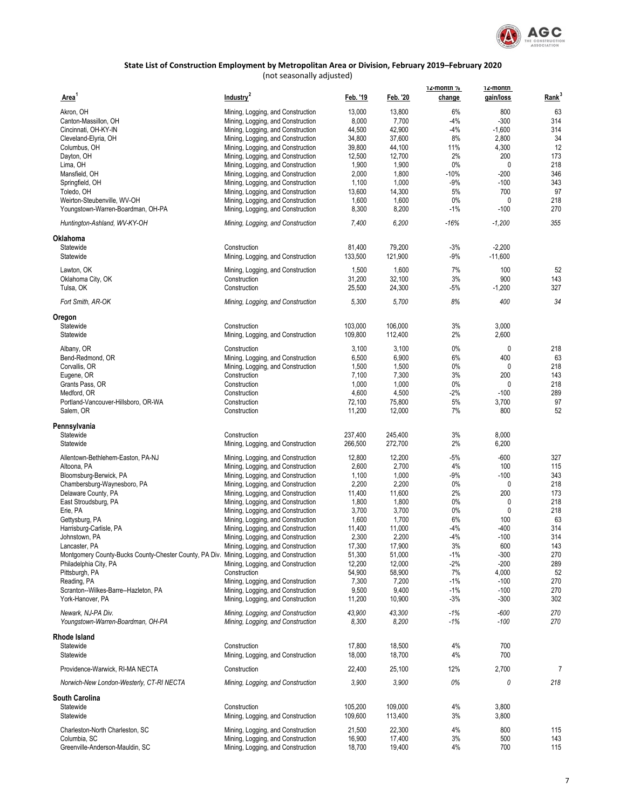

| Area <sup>1</sup>                                                                        | Industry <sup>2</sup>                                                  | Feb. '19        | Feb. '20        | 12-month %<br>change | 12-montn<br>gain/loss | Rank <sup>3</sup> |
|------------------------------------------------------------------------------------------|------------------------------------------------------------------------|-----------------|-----------------|----------------------|-----------------------|-------------------|
| Akron, OH                                                                                | Mining, Logging, and Construction                                      | 13,000          | 13,800          | 6%                   | 800                   | 63                |
| Canton-Massillon, OH                                                                     | Mining, Logging, and Construction                                      | 8,000           | 7,700           | -4%                  | $-300$                | 314               |
| Cincinnati, OH-KY-IN                                                                     | Mining, Logging, and Construction                                      | 44,500          | 42,900          | -4%                  | $-1,600$              | 314               |
| Cleveland-Elyria, OH                                                                     | Mining, Logging, and Construction                                      | 34,800          | 37,600          | 8%                   | 2,800                 | 34                |
| Columbus, OH                                                                             | Mining, Logging, and Construction                                      | 39,800          | 44,100          | 11%                  | 4,300                 | 12                |
|                                                                                          |                                                                        | 12,500          | 12,700          | 2%                   | 200                   | 173               |
| Dayton, OH                                                                               | Mining, Logging, and Construction                                      |                 |                 |                      |                       |                   |
| Lima, OH                                                                                 | Mining, Logging, and Construction                                      | 1,900           | 1,900           | $0\%$                | 0                     | 218               |
| Mansfield, OH                                                                            | Mining, Logging, and Construction                                      | 2,000           | 1,800           | $-10%$               | $-200$                | 346               |
| Springfield, OH                                                                          | Mining, Logging, and Construction                                      | 1,100           | 1,000           | $-9%$                | $-100$                | 343               |
| Toledo, OH                                                                               | Mining, Logging, and Construction                                      | 13,600          | 14,300          | 5%                   | 700                   | 97                |
| Weirton-Steubenville, WV-OH                                                              | Mining, Logging, and Construction                                      | 1,600           | 1,600           | 0%                   | 0                     | 218               |
| Youngstown-Warren-Boardman, OH-PA                                                        | Mining, Logging, and Construction                                      | 8,300           | 8,200           | $-1\%$               | $-100$                | 270               |
| Huntington-Ashland, WV-KY-OH                                                             | Mining, Logging, and Construction                                      | 7,400           | 6,200           | $-16%$               | $-1,200$              | 355               |
| Oklahoma                                                                                 |                                                                        |                 |                 |                      |                       |                   |
| Statewide                                                                                | Construction                                                           | 81,400          | 79,200          | $-3%$                | $-2,200$              |                   |
| Statewide                                                                                | Mining, Logging, and Construction                                      | 133,500         | 121,900         | -9%                  | $-11,600$             |                   |
|                                                                                          |                                                                        |                 |                 |                      |                       |                   |
| Lawton, OK                                                                               | Mining, Logging, and Construction                                      | 1,500           | 1,600           | 7%                   | 100                   | 52                |
| Oklahoma City, OK                                                                        | Construction                                                           | 31,200          | 32,100          | 3%                   | 900                   | 143               |
| Tulsa, OK                                                                                | Construction                                                           | 25,500          | 24,300          | $-5%$                | $-1,200$              | 327               |
| Fort Smith, AR-OK                                                                        | Mining, Logging, and Construction                                      | 5,300           | 5,700           | 8%                   | 400                   | 34                |
| Oregon                                                                                   |                                                                        |                 |                 |                      |                       |                   |
| Statewide                                                                                | Construction                                                           | 103,000         | 106.000         | 3%                   | 3,000                 |                   |
| Statewide                                                                                | Mining, Logging, and Construction                                      | 109,800         | 112,400         | 2%                   | 2,600                 |                   |
|                                                                                          |                                                                        |                 |                 |                      |                       |                   |
| Albany, OR                                                                               | Construction                                                           | 3,100           | 3,100           | $0\%$                | 0                     | 218               |
| Bend-Redmond, OR                                                                         | Mining, Logging, and Construction                                      | 6,500           | 6,900           | 6%                   | 400                   | 63                |
| Corvallis, OR                                                                            | Mining, Logging, and Construction                                      | 1,500           | 1,500           | $0\%$                | 0                     | 218               |
| Eugene, OR                                                                               | Construction                                                           | 7,100           | 7,300           | 3%                   | 200                   | 143               |
| Grants Pass, OR                                                                          | Construction                                                           | 1,000           | 1,000           | $0\%$                | 0                     | 218               |
| Medford, OR                                                                              | Construction                                                           | 4,600           | 4,500           | -2%                  | $-100$                | 289               |
| Portland-Vancouver-Hillsboro, OR-WA                                                      | Construction                                                           | 72,100          | 75,800          | 5%                   | 3,700                 | 97                |
| Salem, OR                                                                                | Construction                                                           | 11,200          | 12,000          | 7%                   | 800                   | 52                |
| Pennsylvania                                                                             |                                                                        |                 |                 |                      |                       |                   |
| Statewide                                                                                | Construction                                                           | 237,400         | 245,400         | 3%                   | 8,000                 |                   |
| Statewide                                                                                | Mining, Logging, and Construction                                      | 266,500         | 272,700         | 2%                   | 6,200                 |                   |
| Allentown-Bethlehem-Easton, PA-NJ                                                        | Mining, Logging, and Construction                                      | 12,800          | 12,200          | $-5%$                | $-600$                | 327               |
| Altoona, PA                                                                              | Mining, Logging, and Construction                                      | 2,600           | 2,700           | 4%                   | 100                   | 115               |
| Bloomsburg-Berwick, PA                                                                   | Mining, Logging, and Construction                                      | 1,100           | 1,000           | -9%                  | $-100$                | 343               |
| Chambersburg-Waynesboro, PA                                                              | Mining, Logging, and Construction                                      | 2,200           | 2,200           | $0\%$                | 0                     | 218               |
|                                                                                          |                                                                        |                 |                 | 2%                   | 200                   | 173               |
| Delaware County, PA                                                                      | Mining, Logging, and Construction                                      | 11,400          | 11,600          |                      |                       |                   |
| East Stroudsburg, PA                                                                     | Mining, Logging, and Construction                                      | 1,800           | 1,800           | $0\%$                | 0                     | 218               |
| Erie, PA                                                                                 | Mining, Logging, and Construction                                      | 3,700           | 3,700           | $0\%$                | 0                     | 218               |
| Gettysburg, PA                                                                           | Mining, Logging, and Construction                                      | 1,600           | 1,700           | 6%                   | 100                   | 63                |
| Harrisburg-Carlisle, PA                                                                  | Mining, Logging, and Construction                                      | 11,400          | 11,000          | -4%                  | $-400$                | 314               |
| Johnstown, PA                                                                            | Mining, Logging, and Construction                                      | 2,300           | 2,200           | -4%                  | $-100$                | 314               |
| Lancaster, PA                                                                            | Mining, Logging, and Construction                                      | 17,300          | 17,900          | 3%                   | 600                   | 143               |
| Montgomery County-Bucks County-Chester County, PA Div. Mining, Logging, and Construction |                                                                        | 51,300          | 51,000          | $-1\%$               | $-300$                | 270               |
| Philadelphia City, PA                                                                    | Mining, Logging, and Construction                                      | 12,200          | 12,000          | $-2\%$               | $-200$                | 289               |
| Pittsburgh, PA                                                                           | Construction                                                           | 54,900          | 58,900          | 7%                   | 4,000                 | 52                |
| Reading, PA                                                                              | Mining, Logging, and Construction                                      | 7,300           | 7,200           | $-1\%$               | $-100$                | 270               |
|                                                                                          |                                                                        |                 |                 |                      |                       |                   |
| Scranton--Wilkes-Barre--Hazleton, PA<br>York-Hanover, PA                                 | Mining, Logging, and Construction<br>Mining, Logging, and Construction | 9,500<br>11,200 | 9,400<br>10,900 | $-1\%$<br>$-3%$      | $-100$<br>$-300$      | 270<br>302        |
|                                                                                          |                                                                        |                 |                 |                      |                       |                   |
| Newark, NJ-PA Div.<br>Youngstown-Warren-Boardman, OH-PA                                  | Mining, Logging, and Construction<br>Mining, Logging, and Construction | 43,900<br>8,300 | 43,300<br>8,200 | $-1%$<br>-1%         | $-600$<br>$-100$      | 270<br>270        |
| Rhode Island                                                                             |                                                                        |                 |                 |                      |                       |                   |
| Statewide                                                                                | Construction                                                           | 17,800          | 18,500          | 4%                   | 700                   |                   |
| Statewide                                                                                | Mining, Logging, and Construction                                      | 18,000          | 18,700          | 4%                   | 700                   |                   |
| Providence-Warwick, RI-MA NECTA                                                          | Construction                                                           | 22,400          | 25,100          | 12%                  | 2,700                 | 7                 |
| Norwich-New London-Westerly, CT-RI NECTA                                                 | Mining, Logging, and Construction                                      | 3,900           | 3,900           | 0%                   | 0                     | 218               |
|                                                                                          |                                                                        |                 |                 |                      |                       |                   |
| <b>South Carolina</b>                                                                    |                                                                        |                 |                 |                      |                       |                   |
| Statewide                                                                                | Construction                                                           | 105,200         | 109,000         | 4%                   | 3,800                 |                   |
| Statewide                                                                                | Mining, Logging, and Construction                                      | 109,600         | 113,400         | 3%                   | 3,800                 |                   |
| Charleston-North Charleston, SC                                                          | Mining, Logging, and Construction                                      | 21,500          | 22,300          | 4%                   | 800                   | 115               |
| Columbia, SC                                                                             | Mining, Logging, and Construction                                      | 16,900          | 17,400          | 3%                   | 500                   | 143               |
| Greenville-Anderson-Mauldin, SC                                                          | Mining, Logging, and Construction                                      | 18,700          | 19,400          | 4%                   | 700                   | 115               |
|                                                                                          |                                                                        |                 |                 |                      |                       |                   |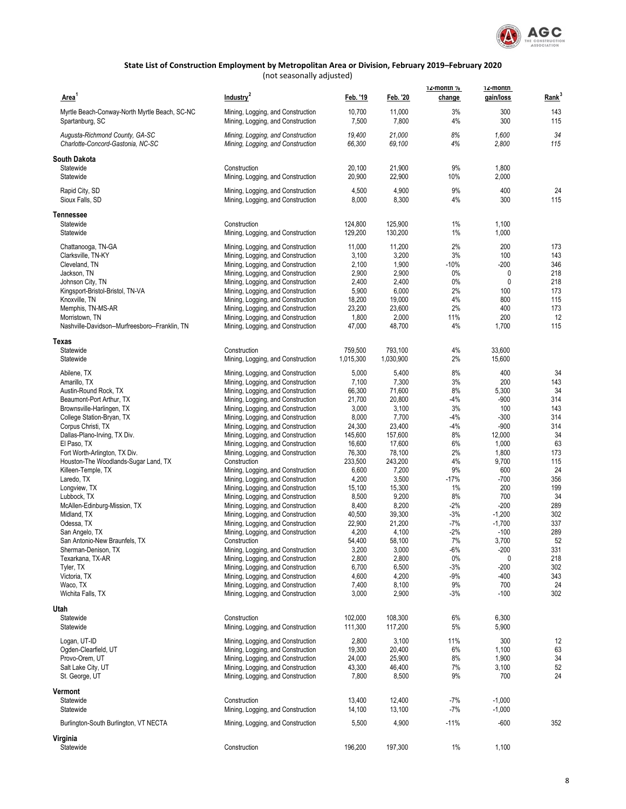

| Area <sup>1</sup>                                                   | Industry <sup>2</sup>                                                  | Feb. '19         | Feb. '20         | 12-montn %<br>change | 12-montn<br>gain/loss | Rank <sup>3</sup> |
|---------------------------------------------------------------------|------------------------------------------------------------------------|------------------|------------------|----------------------|-----------------------|-------------------|
| Myrtle Beach-Conway-North Myrtle Beach, SC-NC<br>Spartanburg, SC    | Mining, Logging, and Construction<br>Mining, Logging, and Construction | 10,700<br>7,500  | 11,000<br>7,800  | 3%<br>4%             | 300<br>300            | 143<br>115        |
| Augusta-Richmond County, GA-SC<br>Charlotte-Concord-Gastonia, NC-SC | Mining, Logging, and Construction<br>Mining, Logging, and Construction | 19,400<br>66,300 | 21,000<br>69,100 | 8%<br>4%             | 1,600<br>2,800        | 34<br>115         |
| South Dakota                                                        |                                                                        |                  |                  |                      |                       |                   |
| Statewide<br>Statewide                                              | Construction<br>Mining, Logging, and Construction                      | 20,100<br>20,900 | 21,900<br>22,900 | 9%<br>10%            | 1,800<br>2,000        |                   |
| Rapid City, SD<br>Sioux Falls, SD                                   | Mining, Logging, and Construction<br>Mining, Logging, and Construction | 4,500<br>8,000   | 4,900<br>8,300   | 9%<br>4%             | 400<br>300            | 24<br>115         |
|                                                                     |                                                                        |                  |                  |                      |                       |                   |
| <b>Tennessee</b><br>Statewide                                       | Construction                                                           | 124,800          | 125,900          | 1%                   | 1,100                 |                   |
| Statewide                                                           | Mining, Logging, and Construction                                      | 129,200          | 130,200          | 1%                   | 1,000                 |                   |
| Chattanooga, TN-GA                                                  | Mining, Logging, and Construction                                      | 11,000           | 11,200           | 2%                   | 200                   | 173               |
| Clarksville, TN-KY                                                  | Mining, Logging, and Construction                                      | 3,100            | 3,200            | 3%                   | 100                   | 143               |
| Cleveland, TN                                                       | Mining, Logging, and Construction                                      | 2,100            | 1,900            | $-10%$               | $-200$                | 346               |
| Jackson, TN                                                         | Mining, Logging, and Construction                                      | 2,900            | 2,900            | 0%                   | 0                     | 218               |
| Johnson City, TN                                                    | Mining, Logging, and Construction                                      | 2,400            | 2,400            | 0%                   | $\mathbf{0}$          | 218               |
| Kingsport-Bristol-Bristol, TN-VA                                    | Mining, Logging, and Construction                                      | 5,900            | 6,000            | 2%                   | 100                   | 173               |
| Knoxville, TN                                                       | Mining, Logging, and Construction                                      | 18,200           | 19,000           | 4%                   | 800                   | 115               |
| Memphis, TN-MS-AR                                                   | Mining, Logging, and Construction                                      | 23,200           | 23,600           | 2%                   | 400                   | 173               |
| Morristown, TN<br>Nashville-Davidson--Murfreesboro--Franklin, TN    | Mining, Logging, and Construction<br>Mining, Logging, and Construction | 1,800<br>47,000  | 2,000<br>48,700  | 11%<br>4%            | 200<br>1,700          | 12<br>115         |
|                                                                     |                                                                        |                  |                  |                      |                       |                   |
| Texas<br>Statewide                                                  | Construction                                                           | 759,500          | 793,100          | 4%                   | 33,600                |                   |
| Statewide                                                           | Mining, Logging, and Construction                                      | 1,015,300        | 1,030,900        | 2%                   | 15,600                |                   |
| Abilene, TX                                                         | Mining, Logging, and Construction                                      | 5,000            | 5,400            | 8%                   | 400                   | 34                |
| Amarillo, TX                                                        | Mining, Logging, and Construction                                      | 7,100            | 7,300            | 3%                   | 200                   | 143               |
| Austin-Round Rock, TX                                               | Mining, Logging, and Construction                                      | 66,300           | 71,600           | 8%                   | 5,300                 | 34                |
| Beaumont-Port Arthur, TX                                            | Mining, Logging, and Construction                                      | 21,700           | 20,800           | $-4%$                | $-900$                | 314               |
| Brownsville-Harlingen, TX                                           | Mining, Logging, and Construction                                      | 3,000            | 3,100            | 3%                   | 100                   | 143               |
| College Station-Bryan, TX                                           | Mining, Logging, and Construction                                      | 8,000            | 7,700            | $-4%$                | $-300$                | 314               |
| Corpus Christi, TX                                                  | Mining, Logging, and Construction                                      | 24,300           | 23,400           | $-4%$                | $-900$                | 314               |
| Dallas-Plano-Irving, TX Div.                                        | Mining, Logging, and Construction                                      | 145,600          | 157,600          | 8%                   | 12,000                | 34                |
| El Paso, TX                                                         | Mining, Logging, and Construction                                      | 16,600           | 17,600           | 6%                   | 1,000                 | 63                |
| Fort Worth-Arlington, TX Div.                                       | Mining, Logging, and Construction                                      | 76,300           | 78,100           | 2%                   | 1,800                 | 173               |
| Houston-The Woodlands-Sugar Land, TX                                | Construction                                                           | 233,500          | 243,200          | 4%<br>9%             | 9,700<br>600          | 115<br>24         |
| Killeen-Temple, TX<br>Laredo, TX                                    | Mining, Logging, and Construction<br>Mining, Logging, and Construction | 6,600<br>4,200   | 7,200<br>3,500   | $-17%$               | $-700$                | 356               |
| Longview, TX                                                        | Mining, Logging, and Construction                                      | 15,100           | 15,300           | 1%                   | 200                   | 199               |
| Lubbock, TX                                                         | Mining, Logging, and Construction                                      | 8,500            | 9,200            | 8%                   | 700                   | 34                |
| McAllen-Edinburg-Mission, TX                                        | Mining, Logging, and Construction                                      | 8,400            | 8,200            | $-2%$                | $-200$                | 289               |
| Midland, TX                                                         | Mining, Logging, and Construction                                      | 40,500           | 39,300           | $-3%$                | $-1,200$              | 302               |
| Odessa, TX                                                          | Mining, Logging, and Construction                                      | 22,900           | 21,200           | -7%                  | $-1,700$              | 337               |
| San Angelo, TX                                                      | Mining, Logging, and Construction                                      | 4,200            | 4,100            | $-2%$                | $-100$                | 289               |
| San Antonio-New Braunfels, TX                                       | Construction                                                           | 54,400           | 58,100           | 7%                   | 3,700                 | 52                |
| Sherman-Denison, TX                                                 | Mining, Logging, and Construction                                      | 3,200            | 3,000            | $-6%$                | $-200$                | 331               |
| Texarkana, TX-AR                                                    | Mining, Logging, and Construction                                      | 2,800            | 2,800            | 0%                   | 0                     | 218               |
| Tyler, TX                                                           | Mining, Logging, and Construction                                      | 6,700            | 6,500            | $-3%$                | $-200$                | 302               |
| Victoria, TX                                                        | Mining, Logging, and Construction                                      | 4,600            | 4,200            | $-9%$                | $-400$                | 343               |
| Waco, TX<br>Wichita Falls, TX                                       | Mining, Logging, and Construction<br>Mining, Logging, and Construction | 7,400<br>3,000   | 8,100<br>2,900   | 9%<br>-3%            | 700<br>$-100$         | 24<br>302         |
|                                                                     |                                                                        |                  |                  |                      |                       |                   |
| Utah<br>Statewide                                                   | Construction                                                           | 102,000          | 108,300          | 6%                   | 6,300                 |                   |
| Statewide                                                           | Mining, Logging, and Construction                                      | 111,300          | 117,200          | 5%                   | 5,900                 |                   |
|                                                                     |                                                                        |                  |                  |                      |                       |                   |
| Logan, UT-ID                                                        | Mining, Logging, and Construction                                      | 2,800            | 3,100            | 11%                  | 300                   | 12                |
| Ogden-Clearfield, UT<br>Provo-Orem, UT                              | Mining, Logging, and Construction                                      | 19,300           | 20,400<br>25,900 | 6%<br>8%             | 1,100<br>1,900        | 63<br>34          |
| Salt Lake City, UT                                                  | Mining, Logging, and Construction<br>Mining, Logging, and Construction | 24,000<br>43,300 | 46,400           | 7%                   | 3,100                 | 52                |
| St. George, UT                                                      | Mining, Logging, and Construction                                      | 7,800            | 8,500            | 9%                   | 700                   | 24                |
| Vermont                                                             |                                                                        |                  |                  |                      |                       |                   |
| Statewide                                                           | Construction                                                           | 13,400           | 12,400           | $-7%$                | $-1,000$              |                   |
| Statewide                                                           | Mining, Logging, and Construction                                      | 14,100           | 13,100           | $-7%$                | $-1,000$              |                   |
| Burlington-South Burlington, VT NECTA                               | Mining, Logging, and Construction                                      | 5,500            | 4,900            | $-11%$               | $-600$                | 352               |
| Virginia                                                            |                                                                        |                  |                  |                      |                       |                   |
| Statewide                                                           | Construction                                                           | 196,200          | 197,300          | $1\%$                | 1,100                 |                   |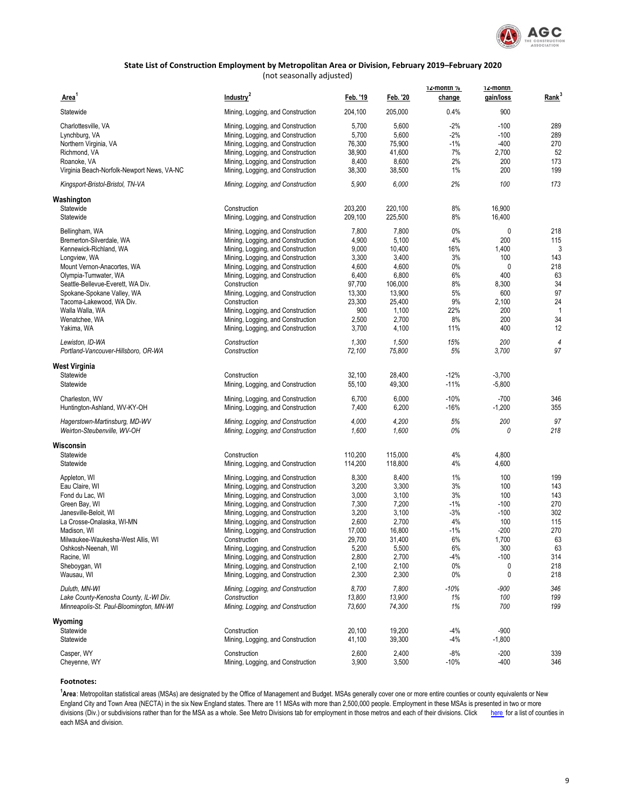

(not seasonally adjusted)

| Area <sup>1</sup>                                                                 | Industry <sup>2</sup>                             | Feb. '19         | Feb. '20         | 12-month %<br>change | 12-montn<br>gain/loss | Rank <sup>3</sup> |
|-----------------------------------------------------------------------------------|---------------------------------------------------|------------------|------------------|----------------------|-----------------------|-------------------|
| Statewide                                                                         | Mining, Logging, and Construction                 | 204,100          | 205,000          | 0.4%                 | 900                   |                   |
|                                                                                   |                                                   |                  |                  |                      |                       |                   |
| Charlottesville, VA                                                               | Mining, Logging, and Construction                 | 5,700            | 5,600            | $-2%$                | $-100$                | 289               |
| Lynchburg, VA                                                                     | Mining, Logging, and Construction                 | 5,700            | 5,600            | $-2%$                | $-100$                | 289               |
| Northern Virginia, VA                                                             | Mining, Logging, and Construction                 | 76,300           | 75,900           | $-1\%$               | $-400$                | 270               |
| Richmond, VA                                                                      | Mining, Logging, and Construction                 | 38,900           | 41,600           | 7%                   | 2,700                 | 52                |
| Roanoke, VA                                                                       | Mining, Logging, and Construction                 | 8,400            | 8,600            | 2%                   | 200                   | 173               |
| Virginia Beach-Norfolk-Newport News, VA-NC                                        | Mining, Logging, and Construction                 | 38,300           | 38,500           | 1%                   | 200                   | 199               |
| Kingsport-Bristol-Bristol, TN-VA                                                  | Mining, Logging, and Construction                 | 5,900            | 6,000            | 2%                   | 100                   | 173               |
| Washington                                                                        |                                                   |                  |                  |                      |                       |                   |
| Statewide                                                                         | Construction                                      | 203.200          | 220,100          | 8%                   | 16,900                |                   |
| Statewide                                                                         | Mining, Logging, and Construction                 | 209,100          | 225,500          | 8%                   | 16,400                |                   |
| Bellingham, WA                                                                    | Mining, Logging, and Construction                 | 7,800            | 7,800            | 0%                   | 0                     | 218               |
| Bremerton-Silverdale, WA                                                          | Mining, Logging, and Construction                 | 4,900            | 5,100            | 4%                   | 200                   | 115               |
| Kennewick-Richland, WA                                                            | Mining, Logging, and Construction                 | 9,000            | 10,400           | 16%                  | 1,400                 | 3                 |
| Longview, WA                                                                      | Mining, Logging, and Construction                 | 3,300            | 3,400            | 3%                   | 100                   | 143               |
| Mount Vernon-Anacortes, WA                                                        | Mining, Logging, and Construction                 | 4,600            | 4,600            | 0%                   | 0                     | 218               |
| Olympia-Tumwater, WA                                                              | Mining, Logging, and Construction                 | 6,400            | 6,800            | 6%                   | 400                   | 63                |
| Seattle-Bellevue-Everett, WA Div.                                                 | Construction                                      | 97,700           | 106,000          | 8%                   | 8,300                 | 34                |
|                                                                                   |                                                   |                  |                  |                      |                       |                   |
| Spokane-Spokane Valley, WA                                                        | Mining, Logging, and Construction                 | 13,300           | 13,900           | 5%                   | 600                   | 97                |
| Tacoma-Lakewood, WA Div.                                                          | Construction                                      | 23,300           | 25,400           | 9%                   | 2,100                 | 24                |
| Walla Walla, WA                                                                   | Mining, Logging, and Construction                 | 900              | 1,100            | 22%                  | 200                   | $\mathbf 1$       |
| Wenatchee, WA                                                                     | Mining, Logging, and Construction                 | 2,500            | 2,700            | 8%                   | 200                   | 34                |
| Yakima, WA                                                                        | Mining, Logging, and Construction                 | 3,700            | 4,100            | 11%                  | 400                   | 12                |
| Lewiston, ID-WA                                                                   | Construction                                      | 1,300            | 1,500            | 15%                  | 200                   | 4                 |
| Portland-Vancouver-Hillsboro, OR-WA                                               | Construction                                      | 72,100           | 75,800           | 5%                   | 3,700                 | 97                |
| West Virginia                                                                     |                                                   |                  |                  |                      |                       |                   |
| Statewide                                                                         | Construction                                      | 32,100           | 28,400           | $-12%$               | $-3,700$              |                   |
| Statewide                                                                         | Mining, Logging, and Construction                 | 55,100           | 49,300           | $-11%$               | $-5,800$              |                   |
| Charleston, WV                                                                    | Mining, Logging, and Construction                 | 6,700            | 6,000            | $-10%$               | $-700$                | 346               |
| Huntington-Ashland, WV-KY-OH                                                      | Mining, Logging, and Construction                 | 7,400            | 6,200            | $-16%$               | $-1,200$              | 355               |
| Hagerstown-Martinsburg, MD-WV                                                     | Mining, Logging, and Construction                 | 4,000            | 4,200            | 5%                   | 200                   | 97                |
| Weirton-Steubenville, WV-OH                                                       | Mining, Logging, and Construction                 | 1,600            | 1,600            | 0%                   | 0                     | 218               |
| Wisconsin                                                                         |                                                   |                  |                  |                      |                       |                   |
| Statewide                                                                         | Construction                                      | 110,200          | 115,000          | 4%                   | 4,800                 |                   |
| Statewide                                                                         | Mining, Logging, and Construction                 | 114,200          | 118,800          | 4%                   | 4,600                 |                   |
|                                                                                   |                                                   |                  |                  |                      |                       |                   |
| Appleton, WI                                                                      | Mining, Logging, and Construction                 | 8,300            | 8,400            | 1%                   | 100                   | 199               |
| Eau Claire, WI                                                                    | Mining, Logging, and Construction                 | 3,200            | 3,300            | 3%                   | 100                   | 143               |
| Fond du Lac, WI                                                                   | Mining, Logging, and Construction                 | 3,000            | 3,100            | 3%                   | 100                   | 143               |
| Green Bay, WI                                                                     | Mining, Logging, and Construction                 | 7,300            | 7,200            | $-1%$                | $-100$                | 270               |
| Janesville-Beloit, WI                                                             | Mining, Logging, and Construction                 | 3,200            | 3,100            | $-3%$                | $-100$                | 302               |
| La Crosse-Onalaska, WI-MN                                                         | Mining, Logging, and Construction                 | 2,600            | 2,700            | 4%                   | 100                   | 115               |
| Madison, WI                                                                       | Mining, Logging, and Construction                 | 17,000           | 16,800           | $-1%$                | $-200$                | 270               |
| Milwaukee-Waukesha-West Allis, WI                                                 | Construction                                      | 29,700           | 31,400           | 6%                   | 1,700                 | 63                |
| Oshkosh-Neenah, WI                                                                | Mining, Logging, and Construction                 | 5,200            | 5,500            | 6%                   | 300                   | 63                |
| Racine, WI                                                                        | Mining, Logging, and Construction                 | 2,800            | 2,700            | $-4%$                | $-100$                | 314               |
| Sheboygan, WI                                                                     | Mining, Logging, and Construction                 | 2,100            | 2,100            | 0%                   | 0                     | 218               |
| Wausau, WI                                                                        | Mining, Logging, and Construction                 | 2,300            | 2,300            | 0%                   | $\pmb{0}$             | 218               |
| Duluth, MN-WI                                                                     | Mining, Logging, and Construction                 | 8,700            | 7,800            | $-10%$               | -900                  | 346               |
|                                                                                   |                                                   |                  |                  |                      |                       |                   |
| Lake County-Kenosha County, IL-WI Div.<br>Minneapolis-St. Paul-Bloomington, MN-WI | Construction<br>Mining, Logging, and Construction | 13,800<br>73,600 | 13,900<br>74,300 | 1%<br>1%             | 100<br>700            | 199<br>199        |
|                                                                                   |                                                   |                  |                  |                      |                       |                   |
| Wyoming<br>Statewide                                                              | Construction                                      | 20,100           | 19,200           | $-4%$                | $-900$                |                   |
| Statewide                                                                         | Mining, Logging, and Construction                 | 41,100           | 39,300           | $-4%$                | $-1,800$              |                   |
|                                                                                   |                                                   |                  |                  |                      |                       |                   |
| Casper, WY                                                                        | Construction                                      | 2,600            | 2,400            | $-8%$                | $-200$                | 339               |
| Cheyenne, WY                                                                      | Mining, Logging, and Construction                 | 3,900            | 3,500            | $-10%$               | $-400$                | 346               |

#### **Footnotes:**

**1 Area**: Metropolitan statistical areas (MSAs) are designated by the Office of Management and Budget. MSAs generally cover one or more entire counties or county equivalents or New England City and Town Area (NECTA) in the six New England states. There are 11 MSAs with more than 2,500,000 people. Employment in these MSAs is presented in two or more divisions (Div.) or subdivisions rather than for the MSA as a whole. See Metro Divisions tab for employment in those metros and each of their divisions. Click here for a list of counties in each MSA and division.